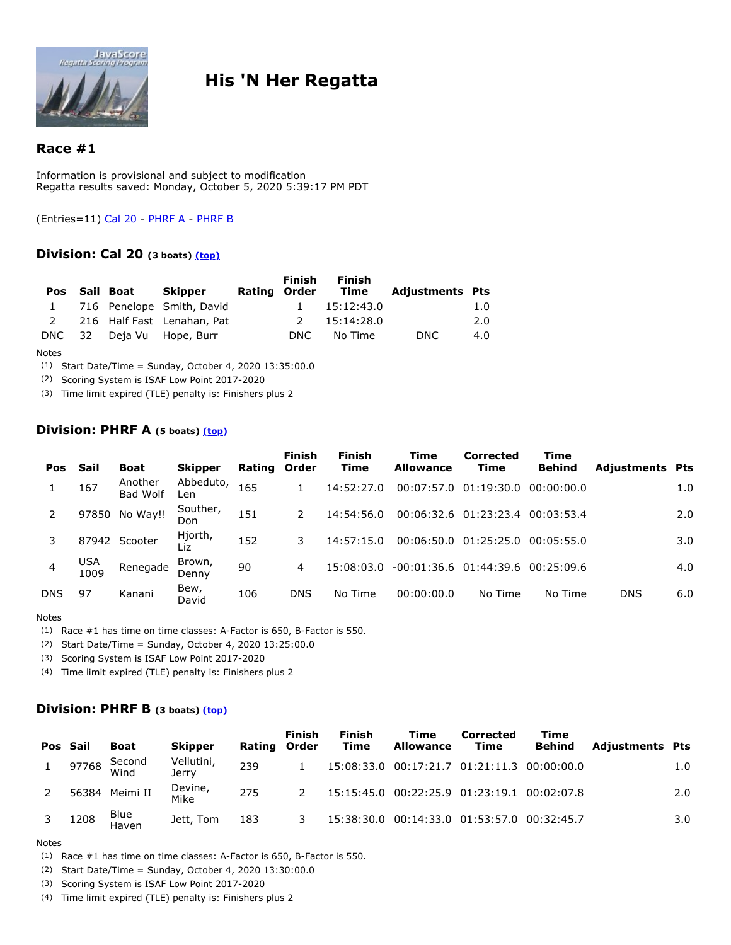

# **His 'N Her Regatta**

# **Race #1**

Information is provisional and subject to modification Regatta results saved: Monday, October 5, 2020 5:39:17 PM PDT

<span id="page-0-0"></span>(Entries=11) Cal 20 - PHRF A - PHRF B

# **Division: Cal 20 (3 boats) [\(top\)](#page-0-0)**

| <b>Pos</b> | Sail Boat | Skipper                     | Rating Order | <b>Finish</b> | <b>Finish</b><br>Time | <b>Adjustments Pts</b> |     |
|------------|-----------|-----------------------------|--------------|---------------|-----------------------|------------------------|-----|
|            |           | 1 716 Penelope Smith, David |              | $\mathbf{1}$  | 15:12:43.0            |                        | 1.0 |
| 2          |           | 216 Half Fast Lenahan, Pat  |              | $\mathcal{P}$ | 15:14:28.0            |                        | 2.0 |
|            |           | DNC 32 Deja Vu Hope, Burr   |              | DNC.          | No Time               | DNC.                   | 4.0 |

Notes

(1) Start Date/Time = Sunday, October 4, 2020 13:35:00.0

(2) Scoring System is ISAF Low Point 2017-2020

(3) Time limit expired (TLE) penalty is: Finishers plus 2

### **Division: PHRF A (5 boats) [\(top\)](#page-0-0)**

| <b>Pos</b> | Sail               | <b>Boat</b>         | <b>Skipper</b>   | Rating | <b>Finish</b><br>Order | <b>Finish</b><br><b>Time</b> | Time<br><b>Allowance</b>   | Corrected<br><b>Time</b> | Time<br><b>Behind</b> | <b>Adjustments Pts</b> |     |
|------------|--------------------|---------------------|------------------|--------|------------------------|------------------------------|----------------------------|--------------------------|-----------------------|------------------------|-----|
|            | 167                | Another<br>Bad Wolf | Abbeduto,<br>∟en | 165    |                        | 14:52:27.0                   | 00:07:57.0                 | 01:19:30.0               | 00:00:00.0            |                        | 1.0 |
|            |                    | 97850 No Way!!      | Souther,<br>Don  | 151    | 2                      | 14:54:56.0                   |                            | 00:06:32.6 01:23:23.4    | 00:03:53.4            |                        | 2.0 |
| 3          | 87942              | Scooter             | Hjorth,<br>Liz   | 152    | 3                      | 14:57:15.0                   | 00:06:50.0                 | 01:25:25.0               | 00:05:55.0            |                        | 3.0 |
|            | <b>USA</b><br>1009 | Renegade            | Brown,<br>Denny  | 90     | 4                      | 15:08:03.0                   | $-00:01:36.6$ $01:44:39.6$ |                          | 00:25:09.6            |                        | 4.0 |
| <b>DNS</b> | 97                 | Kanani              | Bew,<br>David    | 106    | <b>DNS</b>             | No Time                      | 00:00:00.0                 | No Time                  | No Time               | <b>DNS</b>             | 6.0 |

Notes

(1) Race #1 has time on time classes: A-Factor is 650, B-Factor is 550.

(2) Start Date/Time = Sunday, October 4, 2020 13:25:00.0

(3) Scoring System is ISAF Low Point 2017-2020

(4) Time limit expired (TLE) penalty is: Finishers plus 2

### **Division: PHRF B (3 boats) [\(top\)](#page-0-0)**

| Pos Sail | Boat               | <b>Skipper</b>      | <b>Rating Order</b> | <b>Finish</b> | <b>Finish</b><br>Time | Time<br><b>Allowance</b> | Corrected<br>Time                           | Time<br><b>Behind</b> | <b>Adjustments Pts</b> |                  |
|----------|--------------------|---------------------|---------------------|---------------|-----------------------|--------------------------|---------------------------------------------|-----------------------|------------------------|------------------|
| 97768    | Second<br>Wind     | Vellutini,<br>Jerry | 239                 |               |                       |                          | 15:08:33.0 00:17:21.7 01:21:11.3 00:00:00.0 |                       |                        | 1.0              |
|          | 56384 Meimi II     | Devine,<br>Mike     | 275                 |               |                       |                          | 15:15:45.0 00:22:25.9 01:23:19.1 00:02:07.8 |                       |                        | 2.0              |
| 1208     | Blue<br>–<br>Haven | Jett, Tom           | 183                 |               |                       |                          | 15:38:30.0 00:14:33.0 01:53:57.0 00:32:45.7 |                       |                        | 3.0 <sub>1</sub> |

#### Notes

(1) Race #1 has time on time classes: A-Factor is 650, B-Factor is 550.

- (2) Start Date/Time = Sunday, October 4, 2020 13:30:00.0
- (3) Scoring System is ISAF Low Point 2017-2020
- (4) Time limit expired (TLE) penalty is: Finishers plus 2